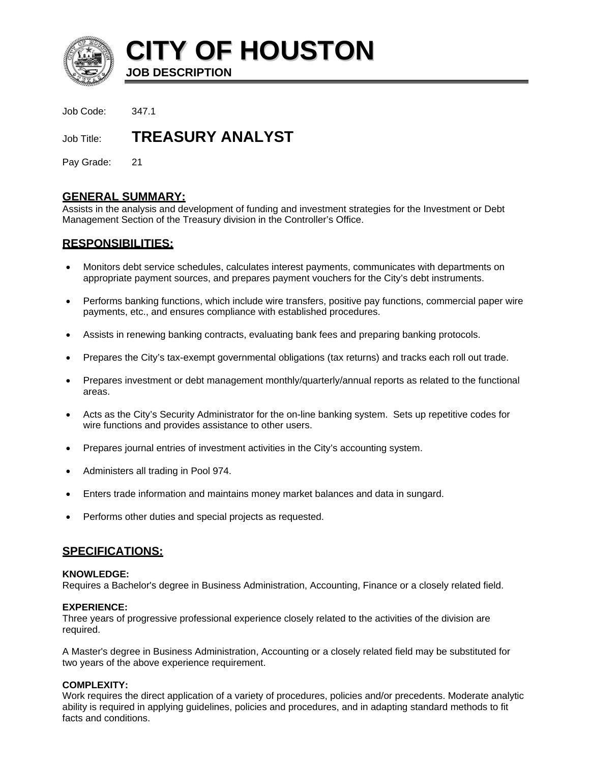

**CITY OF HOUSTON**

**JOB DESCRIPTION** 

Job Code: 347.1

Job Title: **TREASURY ANALYST** 

Pay Grade: 21

## **GENERAL SUMMARY:**

Assists in the analysis and development of funding and investment strategies for the Investment or Debt Management Section of the Treasury division in the Controller's Office.

# **RESPONSIBILITIES:**

- Monitors debt service schedules, calculates interest payments, communicates with departments on appropriate payment sources, and prepares payment vouchers for the City's debt instruments.
- Performs banking functions, which include wire transfers, positive pay functions, commercial paper wire payments, etc., and ensures compliance with established procedures.
- Assists in renewing banking contracts, evaluating bank fees and preparing banking protocols.
- Prepares the City's tax-exempt governmental obligations (tax returns) and tracks each roll out trade.
- Prepares investment or debt management monthly/quarterly/annual reports as related to the functional areas.
- Acts as the City's Security Administrator for the on-line banking system. Sets up repetitive codes for wire functions and provides assistance to other users.
- Prepares journal entries of investment activities in the City's accounting system.
- Administers all trading in Pool 974.
- Enters trade information and maintains money market balances and data in sungard.
- Performs other duties and special projects as requested.

# **SPECIFICATIONS:**

#### **KNOWLEDGE:**

Requires a Bachelor's degree in Business Administration, Accounting, Finance or a closely related field.

## **EXPERIENCE:**

Three years of progressive professional experience closely related to the activities of the division are required.

A Master's degree in Business Administration, Accounting or a closely related field may be substituted for two years of the above experience requirement.

## **COMPLEXITY:**

Work requires the direct application of a variety of procedures, policies and/or precedents. Moderate analytic ability is required in applying guidelines, policies and procedures, and in adapting standard methods to fit facts and conditions.